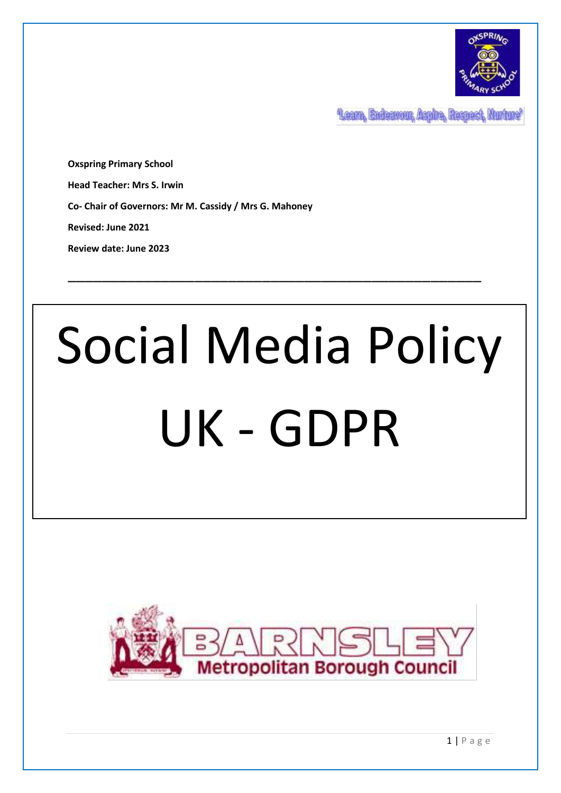

Learn, Endeavour, Aspire, Respect, Nurture'

**Oxspring Primary School Head Teacher: Mrs S. Irwin Co- Chair of Governors: Mr M. Cassidy / Mrs G. Mahoney Revised: June 2021**

**Review date: June 2023**

# Social Media Policy UK - GDPR

\_\_\_\_\_\_\_\_\_\_\_\_\_\_\_\_\_\_\_\_\_\_\_\_\_\_\_\_\_\_\_\_\_\_\_\_\_\_\_\_\_\_\_\_\_\_\_\_\_

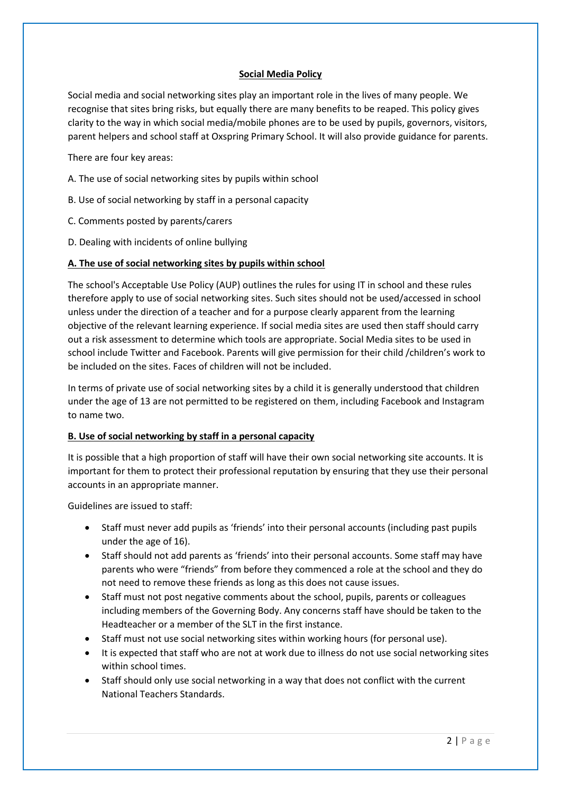## **Social Media Policy**

Social media and social networking sites play an important role in the lives of many people. We recognise that sites bring risks, but equally there are many benefits to be reaped. This policy gives clarity to the way in which social media/mobile phones are to be used by pupils, governors, visitors, parent helpers and school staff at Oxspring Primary School. It will also provide guidance for parents.

There are four key areas:

- A. The use of social networking sites by pupils within school
- B. Use of social networking by staff in a personal capacity
- C. Comments posted by parents/carers
- D. Dealing with incidents of online bullying

#### **A. The use of social networking sites by pupils within school**

The school's Acceptable Use Policy (AUP) outlines the rules for using IT in school and these rules therefore apply to use of social networking sites. Such sites should not be used/accessed in school unless under the direction of a teacher and for a purpose clearly apparent from the learning objective of the relevant learning experience. If social media sites are used then staff should carry out a risk assessment to determine which tools are appropriate. Social Media sites to be used in school include Twitter and Facebook. Parents will give permission for their child /children's work to be included on the sites. Faces of children will not be included.

In terms of private use of social networking sites by a child it is generally understood that children under the age of 13 are not permitted to be registered on them, including Facebook and Instagram to name two.

#### **B. Use of social networking by staff in a personal capacity**

It is possible that a high proportion of staff will have their own social networking site accounts. It is important for them to protect their professional reputation by ensuring that they use their personal accounts in an appropriate manner.

Guidelines are issued to staff:

- Staff must never add pupils as 'friends' into their personal accounts (including past pupils under the age of 16).
- Staff should not add parents as 'friends' into their personal accounts. Some staff may have parents who were "friends" from before they commenced a role at the school and they do not need to remove these friends as long as this does not cause issues.
- Staff must not post negative comments about the school, pupils, parents or colleagues including members of the Governing Body. Any concerns staff have should be taken to the Headteacher or a member of the SLT in the first instance.
- Staff must not use social networking sites within working hours (for personal use).
- It is expected that staff who are not at work due to illness do not use social networking sites within school times.
- Staff should only use social networking in a way that does not conflict with the current National Teachers Standards.